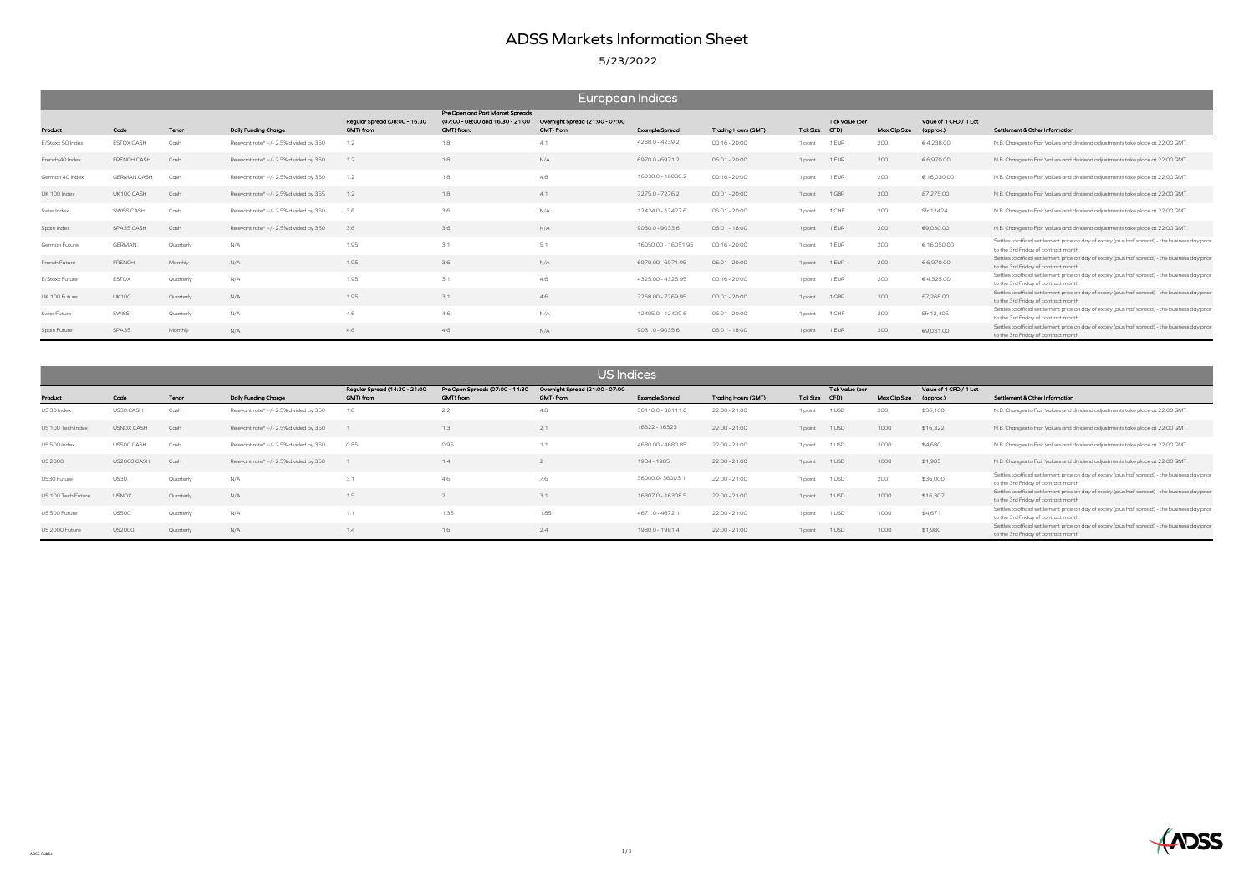# ADSS Markets Information Sheet

### 5/23/2022

| Value of 1 CFD / 1 Lot<br>(approx.) | Settlement & Other Information                                                                                                           |
|-------------------------------------|------------------------------------------------------------------------------------------------------------------------------------------|
| €4,238.00                           | N.B. Changes to Fair Values and dividend adjustments take place at 22:00 GMT.                                                            |
| €6.970.00                           | N.B. Changes to Fair Values and dividend adjustments take place at 22:00 GMT.                                                            |
| € 16.030.00                         | N.B. Changes to Fair Values and dividend adjustments take place at 22:00 GMT.                                                            |
| £7.275.00                           | N.B. Changes to Fair Values and dividend adjustments take place at 22:00 GMT.                                                            |
| Sfr 12424                           | N.B. Changes to Fair Values and dividend adjustments take place at 22:00 GMT.                                                            |
| €9,030.00                           | N.B. Changes to Fair Values and dividend adjustments take place at 22:00 GMT.                                                            |
| € 16,050.00                         | Settles to official settlement price on day of expiry (plus half spread) - the business day prior<br>to the 3rd Friday of contract month |
| € 6,970.00                          | Settles to official settlement price on day of expiry (plus half spread) - the business day prior<br>to the 3rd Friday of contract month |
| €4,325.00                           | Settles to official settlement price on day of expiry (plus half spread) - the business day prior<br>to the 3rd Friday of contract month |
| £7,268.00                           | Settles to official settlement price on day of expiry (plus half spread) - the business day prior<br>to the 3rd Friday of contract month |
| Sfr 12,405                          | Settles to official settlement price on day of expiry (plus half spread) - the business day prior<br>to the 3rd Friday of contract month |
| €9.031.00                           | Settles to official settlement price on day of expiry (plus half spread) - the business day prior<br>to the 3rd Friday of contract month |

|                  | European Indices   |           |                                        |                                            |                                                                                    |                                              |                       |                            |                |                 |               |                                     |                                                                                                                               |  |
|------------------|--------------------|-----------|----------------------------------------|--------------------------------------------|------------------------------------------------------------------------------------|----------------------------------------------|-----------------------|----------------------------|----------------|-----------------|---------------|-------------------------------------|-------------------------------------------------------------------------------------------------------------------------------|--|
| Product          | Code               | Tenor     | Daily Funding Charge                   | Regular Spread (08:00 - 16.30<br>GMT) from | Pre Open and Post Market Spreads<br>(07:00 - 08:00 and 16.30 - 21:00<br>GMT) from: | Overnight Spread (21:00 - 07:00<br>GMT) from | <b>Example Spread</b> | <b>Trading Hours (GMT)</b> | Tick Size CFD) | Tick Value (per | Max Clip Size | Value of 1 CFD / 1 Lot<br>(approx.) | Settlement & Other Information                                                                                                |  |
| E/Stoxx 50 Index | ESTOX.CASH         | Cash      | Relevant rate* +/- 2.5% divided by 360 | 1.2                                        | 1.8                                                                                | 41                                           | 4238.0 - 4239.2       | $00:16 - 20:00$            | 1 point 1 EUR  |                 | 200           | €4,238.00                           | N.B. Changes to Fair Values and dividend adjustments take place at 22:00 GMT                                                  |  |
| French 40 Index  | FRENCH.CASH        | Cash      | Relevant rate* +/- 2.5% divided by 360 | 1.2                                        | 1.8                                                                                | N/A                                          | 6970.0 - 6971.2       | $06:01 - 20:00$            | 1 point 1 EUR  |                 | 200           | € 6,970.00                          | N.B. Changes to Fair Values and dividend adjustments take place at 22:00 GMT                                                  |  |
| German 40 Index  | <b>GERMAN.CASH</b> | Cash      | Relevant rate* +/- 2.5% divided by 360 | 1.2                                        | 1.8                                                                                | 4.6                                          | 16030.0 - 16030.2     | $00:16 - 20:00$            | 1 point        | 1 EUR           | 200           | € 16,030.00                         | N.B. Changes to Fair Values and dividend adjustments take place at 22:00 GMT                                                  |  |
| UK 100 Index     | UK100.CASH         | Cash      | Relevant rate* +/- 2.5% divided by 365 | 1.2                                        | 1.8                                                                                | 41                                           | 7275.0 - 7276.2       | $00:01 - 20:00$            | 1 point        | 1 GBP           | 200           | £7,275.00                           | N.B. Changes to Fair Values and dividend adjustments take place at 22:00 GMT                                                  |  |
| Swiss Index      | SWISS.CASH         | Cash      | Relevant rate* +/- 2.5% divided by 360 | 3.6                                        | 3.6                                                                                | N/A                                          | 12424.0 - 12427.6     | $06:01 - 20:00$            | 1 point        | 1 CHF           | 200           | Sfr 12424                           | N.B. Changes to Fair Values and dividend adjustments take place at 22:00 GMT                                                  |  |
| Spain Index      | SPA35.CASH         | Cash      | Relevant rate* +/- 2.5% divided by 360 | 3.6                                        | 3.6                                                                                | N/A                                          | 9030.0 - 9033.6       | 06:01 - 18:00              | 1 point 1 EUR  |                 | 200           | €9,030.00                           | N.B. Changes to Fair Values and dividend adjustments take place at 22:00 GMT                                                  |  |
| German Future    | <b>GERMAN</b>      | Quarterly | N/A                                    | 1.95                                       | 3.1                                                                                | 5.1                                          | 16050.00 - 16051.95   | $00:16 - 20:00$            | 1 point        | 1 EUR           | 200           | € 16,050.00                         | Settles to official settlement price on day of expiry (plus half spread) - the busines<br>to the 3rd Friday of contract month |  |
| French Future    | FRENCH.            | Monthly   | N/A                                    | 1.95                                       | 3.6                                                                                | N/A                                          | 6970.00 - 6971.95     | $06:01 - 20:00$            | 1 point 1 EUR  |                 | 200           | € 6,970.00                          | Settles to official settlement price on day of expiry (plus half spread) - the busines<br>to the 3rd Friday of contract month |  |
| E/Stoxx Future   | ESTOX.             | Quarterly | N/A                                    | 1.95                                       | 3.1                                                                                | 4.6                                          | 4325.00 - 4326.95     | $00:16 - 20:00$            | 1 point        | 1 EUR           | 200           | €4,325.00                           | Settles to official settlement price on day of expiry (plus half spread) - the busines<br>to the 3rd Friday of contract month |  |
| UK 100 Future    | <b>UK100.</b>      | Quarterly | N/A                                    | 1.95                                       | 3.1                                                                                | 4.6                                          | 7268.00 - 7269.95     | $00:01 - 20:00$            | 1 point        | 1 GBP           | 200           | £7,268.00                           | Settles to official settlement price on day of expiry (plus half spread) - the busines<br>to the 3rd Friday of contract month |  |
| Swiss Future     | SWISS.             | Quarterly | N/A                                    | 4.6                                        | 4.6                                                                                | N/A                                          | 12405.0 - 12409.6     | $06:01 - 20:00$            | 1 point        | 1 CHF           | 200           | Sfr 12,405                          | Settles to official settlement price on day of expiry (plus half spread) - the busines<br>to the 3rd Friday of contract month |  |
| Spain Future     | SPA35.             | Monthly   | N/A                                    | 4.6                                        | 4.6                                                                                | N/A                                          | 9031.0 - 9035.6       | 06:01 - 18:00              | 1 point        | 1 EUR           | 200           | €9,031.00                           | Settles to official settlement price on day of expiry (plus half spread) - the busines<br>to the 3rd Friday of contract month |  |

| US Indices         |               |           |                                        |                                            |                                              |                                              |                       |                     |                |                        |               |                                     |                                                                                                                               |
|--------------------|---------------|-----------|----------------------------------------|--------------------------------------------|----------------------------------------------|----------------------------------------------|-----------------------|---------------------|----------------|------------------------|---------------|-------------------------------------|-------------------------------------------------------------------------------------------------------------------------------|
| Product            | Code          | Tenor     | Daily Funding Charge                   | Regular Spread (14:30 - 21:00<br>GMT) from | Pre Open Spreads (07:00 - 14:30<br>GMT) from | Overnight Spread (21:00 - 07:00<br>GMT) from | <b>Example Spread</b> | Trading Hours (GMT) | Tick Size CFD) | <b>Tick Value (per</b> | Max Clip Size | Value of 1 CFD / 1 Lot<br>(approx.) | Settlement & Other Information                                                                                                |
| US 30 Index        | US30.CASH     | Cash      | Relevant rate* +/- 2.5% divided by 360 | 1.6                                        | 2.2                                          | 4.8                                          | 36110.0 - 36111.6     | 22:00 - 21:00       | 1 point        | 1 USD                  | 200           | \$36,100                            | N.B. Changes to Fair Values and dividend adjustments take place at 22:00 GMT                                                  |
| US 100 Tech Index  | USNDX.CASH    | Cash      | Relevant rate* +/- 2.5% divided by 360 |                                            | 1.3                                          | 2.1                                          | 16322 - 16323         | 22:00 - 21:00       | 1 point        | 1 USD                  | 1000          | \$16,322                            | N.B. Changes to Fair Values and dividend adjustments take place at 22:00 GMT                                                  |
| US 500 Index       | US500.CASH    | Cash      | Relevant rate* +/- 2.5% divided by 360 | 0.85                                       | 0.95                                         | 1.1                                          | 4680.00 - 4680.85     | 22:00 - 21:00       | 1 point        | 1 USD                  | 1000          | \$4,680                             | N.B. Changes to Fair Values and dividend adjustments take place at 22:00 GMT                                                  |
| <b>US 2000</b>     | US2000.CASH   | Cash      | Relevant rate* +/- 2.5% divided by 360 |                                            | 1.4                                          |                                              | 1984 - 1985           | 22:00 - 21:00       | 1 point        | 1 USD                  | 1000          | \$1,985                             | N.B. Changes to Fair Values and dividend adjustments take place at 22:00 GMT                                                  |
| US30 Future        | <b>US30.</b>  | Quarterly | N/A                                    | 3.1                                        | 4.6                                          | 7.6                                          | 36000.0-36003.1       | 22:00 - 21:00       | 1 point        | 1 USD                  | 200           | \$36,000                            | Settles to official settlement price on day of expiry (plus half spread) - the busines<br>to the 3rd Friday of contract month |
| US 100 Tech Future | USNDX.        | Quarterly | N/A                                    | 1.5                                        |                                              | 3.1                                          | 16307.0 - 16308.5     | 22:00 - 21:00       | 1 point        | 1 USD                  | 1000          | \$16,307                            | Settles to official settlement price on day of expiry (plus half spread) - the busines<br>to the 3rd Friday of contract month |
| US 500 Future      | <b>US500.</b> | Quarterly | N/A                                    | 1.1                                        | 1.35                                         | 1.85                                         | 4671.0 - 4672.1       | 22:00 - 21:00       | 1 point        | 1 USD                  | 1000          | \$4,671                             | Settles to official settlement price on day of expiry (plus half spread) - the busines<br>to the 3rd Friday of contract month |
| US 2000 Future     | US2000.       | Quarterly | N/A                                    | 1.4                                        | 1.6                                          | 2.4                                          | 1980.0 - 1981.4       | 22:00 - 21:00       | 1 point        | 1 USD                  | 1000          | \$1,980                             | Settles to official settlement price on day of expiry (plus half spread) - the busines<br>to the 3rd Friday of contract month |

| Value of 1 CFD / 1 Lot<br>(approx.) | Settlement & Other Information                                                                                                           |
|-------------------------------------|------------------------------------------------------------------------------------------------------------------------------------------|
|                                     |                                                                                                                                          |
| \$36,100                            | N.B. Changes to Fair Values and dividend adjustments take place at 22:00 GMT.                                                            |
| \$16,322                            | N.B. Changes to Fair Values and dividend adjustments take place at 22:00 GMT.                                                            |
| \$4,680                             | N.B. Changes to Fair Values and dividend adjustments take place at 22:00 GMT.                                                            |
| \$1,985                             | N.B. Changes to Fair Values and dividend adjustments take place at 22:00 GMT.                                                            |
| \$36,000                            | Settles to official settlement price on day of expiry (plus half spread) - the business day prior<br>to the 3rd Friday of contract month |
| \$16,307                            | Settles to official settlement price on day of expiry (plus half spread) - the business day prior<br>to the 3rd Friday of contract month |
| \$4,671                             | Settles to official settlement price on day of expiry (plus half spread) - the business day prior<br>to the 3rd Friday of contract month |
| \$1,980                             | Settles to official settlement price on day of expiry (plus half spread) - the business day prior<br>to the 3rd Friday of contract month |

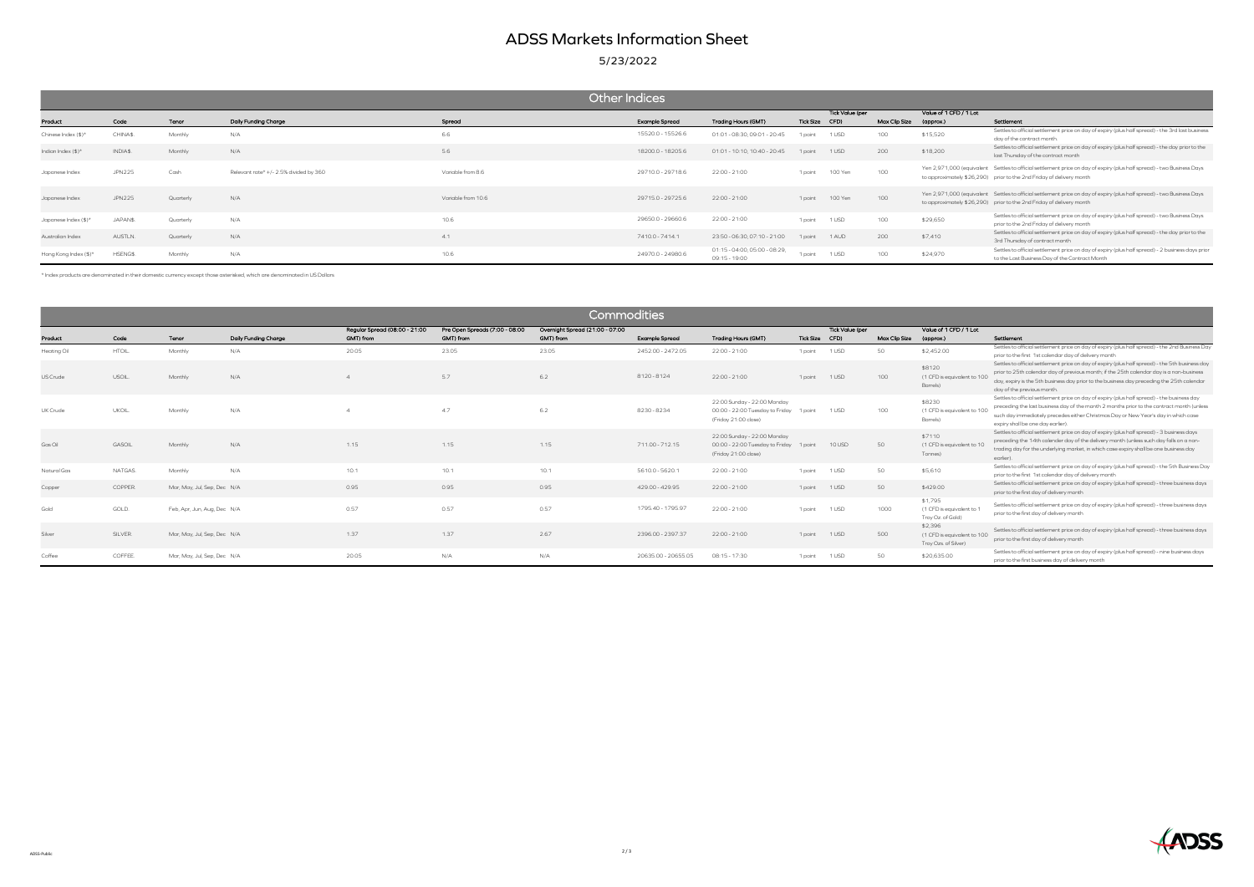## ADSS Markets Information Sheet

5/23/2022

|                                 | Other Indices |           |                                        |                    |                       |                                                |                 |         |                        |           |                                                                                                                                                                                                |  |  |  |
|---------------------------------|---------------|-----------|----------------------------------------|--------------------|-----------------------|------------------------------------------------|-----------------|---------|------------------------|-----------|------------------------------------------------------------------------------------------------------------------------------------------------------------------------------------------------|--|--|--|
|                                 |               |           |                                        |                    |                       |                                                | Tick Value (per |         | Value of 1 CFD / 1 Lot |           |                                                                                                                                                                                                |  |  |  |
| Product                         | Code          | Tenor     | Daily Funding Charge                   | Spread             | <b>Example Spread</b> | Trading Hours (GMT)                            | Tick Size CFD)  |         | Max Clip Size          | (approx.) | Settlement                                                                                                                                                                                     |  |  |  |
| Chinese Index $(\frac{4}{3})^*$ | CHINA\$.      | Monthly   | N/A                                    | 6.6                | 15520.0 - 15526.6     | 01:01 - 08:30, 09:01 - 20:45                   | 1 point         | 1 USD   | 100                    | \$15,520  | Settles to official settlement price on day of expiry (plus half spread) - the 3rd last business<br>day of the contract month.                                                                 |  |  |  |
| Indian Index $(\$)^*$           | INDIA\$.      | Monthly   | N/A                                    | 5.6                | 18200.0 - 18205.6     | 01:01 - 10:10, 10:40 - 20:45                   | 1 point         | 1 USD   | 200                    | \$18,200  | Settles to official settlement price on day of expiry (plus half spread) - the day prior to the<br>last Thursday of the contract month                                                         |  |  |  |
| Japanese Index                  | <b>JPN225</b> | Cash      | Relevant rate* +/- 2.5% divided by 360 | Variable from 8.6  | 29710.0 - 29718.6     | 22:00 - 21:00                                  | 1 point         | 100 Yen | 100                    |           | Yen 2,971,000 (equivalent Settles to official settlement price on day of expiry (plus half spread) - two Business Days<br>to approximately \$26,290) prior to the 2nd Friday of delivery month |  |  |  |
| Japanese Index                  | <b>JPN225</b> | Quarterly | N/A                                    | Variable from 10.6 | 29715.0 - 29725.6     | 22:00 - 21:00                                  | 1 point         | 100 Yen | 100                    |           | Yen 2,971,000 (equivalent Settles to official settlement price on day of expiry (plus half spread) - two Business Days<br>to approximately \$26,290) prior to the 2nd Friday of delivery month |  |  |  |
| Japanese Index (\$)*            | JAPAN\$.      | Quarterly | N/A                                    | 10.6               | 29650.0 - 29660.6     | 22:00 - 21:00                                  | 1 point         | 1 USD   | 100                    | \$29,650  | Settles to official settlement price on day of expiry (plus half spread) - two Business Days<br>prior to the 2nd Friday of delivery month                                                      |  |  |  |
| Australian Index                | AUSTLN.       | Quarterly | N/A                                    |                    | 7410.0 - 7414.1       | 23:50 - 06:30, 07:10 - 21:00                   | 1 point         | 1 AUD   | 200                    | \$7,410   | Settles to official settlement price on day of expiry (plus half spread) - the day prior to the<br>3rd Thursday of contract month                                                              |  |  |  |
| Hong Kong Index (\$)*           | HSENG\$       | Monthly   | N/A                                    | 10.6               | 24970.0 - 24980.6     | 01:15 - 04:00, 05:00 - 08:29,<br>09:15 - 19:00 | 1 point         | 1 USD   | 100                    | \$24,970  | Settles to official settlement price on day of expiry (plus half spread) - 2 business days prior<br>to the Last Business Day of the Contract Month                                             |  |  |  |

|                        | Commodities    |                             |                             |                               |                                |                                 |                                     |                                                                                                |                             |                        |                     |                                                                |                                                                                                                                                                                                                                                                                                                        |  |
|------------------------|----------------|-----------------------------|-----------------------------|-------------------------------|--------------------------------|---------------------------------|-------------------------------------|------------------------------------------------------------------------------------------------|-----------------------------|------------------------|---------------------|----------------------------------------------------------------|------------------------------------------------------------------------------------------------------------------------------------------------------------------------------------------------------------------------------------------------------------------------------------------------------------------------|--|
|                        |                |                             |                             | Regular Spread (08:00 - 21:00 | Pre Open Spreads (7:00 - 08:00 | Overnight Spread (21:00 - 07:00 |                                     |                                                                                                |                             | <b>Tick Value (per</b> |                     | Value of 1 CFD / 1 Lot                                         |                                                                                                                                                                                                                                                                                                                        |  |
| Product<br>Heating Oil | Code<br>HTOIL. | Tenor<br>Monthly            | Daily Funding Charge<br>N/A | GMT) from<br>20.05            | GMT) from<br>23.05             | GMT) from<br>23.05              | Example Spread<br>2452.00 - 2472.05 | Trading Hours (GMT)<br>22:00 - 21:00                                                           | <b>Tick Size</b><br>1 point | CFD)<br>1 USD          | Max Clip Size<br>50 | (approx.)<br>\$2,452.00                                        | Settlement<br>Settles to official settlement price on day of expiry (plus half spread) - the 2nd Business Day<br>prior to the first 1st calendar day of delivery month                                                                                                                                                 |  |
| US Crude               | USOIL.         | Monthly                     | N/A                         |                               | 5.7                            | 6.2                             | 8120-8124                           | 22:00 - 21:00                                                                                  | 1 point                     | 1 USD                  | 100                 | \$8120<br>(1 CFD is equivalent to 10<br>Barrels)               | Settles to official settlement price on day of expiry (plus half spread) - the 5th business day<br>prior to 25th calendar day of previous month; if the 25th calendar day is a non-business<br>day, expiry is the 5th business day prior to the business day preceding the 25th calendar<br>day of the previous month. |  |
| UK Crude               | UKOIL.         | Monthly                     | N/A                         |                               | 4.7                            | 6.2                             | 8230-8234                           | 22:00 Sunday - 22:00 Monday<br>00:00 - 22:00 Tuesday to Friday 1 point<br>(Friday 21:00 close) |                             | 1 USD                  | 100                 | \$8230<br>(1 CFD is equivalent to 100<br>Barrels)              | Settles to official settlement price on day of expiry (plus half spread) - the business day<br>preceding the last business day of the month 2 months prior to the contract month (unless<br>such day immediately precedes either Christmas Day or New Year's day in which case<br>expiry shall be one day earlier).    |  |
| Gas Oil                | GASOIL         | Monthly                     | N/A                         | 1.15                          | 1.15                           | 1.15                            | 711.00 - 712.15                     | 22:00 Sunday - 22:00 Monday<br>00:00 - 22:00 Tuesday to Friday 1 point<br>(Friday 21:00 close) |                             | 10 USD                 | 50                  | \$7110<br>(1 CFD is equivalent to 10<br>Tonnes)                | Settles to official settlement price on day of expiry (plus half spread) - 3 business days<br>preceding the 14th calender day of the delivery month (unless such day falls on a non-<br>trading day for the underlying market, in which case expiry shall be one business day<br>earlier).                             |  |
| Natural Gas            | NATGAS.        | Monthly                     | N/A                         | 10.1                          | 10.1                           | 10.1                            | 5610.0 - 5620.1                     | 22:00 - 21:00                                                                                  | 1 point                     | 1 USD                  | 50                  | \$5,610                                                        | Settles to official settlement price on day of expiry (plus half spread) - the 5th Business Day<br>prior to the first 1st calendar day of delivery month                                                                                                                                                               |  |
| Copper                 | COPPER.        | Mar, May, Jul, Sep, Dec N/A |                             | 0.95                          | 0.95                           | 0.95                            | 429.00 - 429.95                     | 22:00 - 21:00                                                                                  | 1 point                     | 1 USD                  | 50                  | \$429.00                                                       | Settles to official settlement price on day of expiry (plus half spread) - three business days<br>prior to the first day of delivery month                                                                                                                                                                             |  |
| Gold                   | GOLD.          | Feb, Apr, Jun, Aug, Dec N/A |                             | 0.57                          | 0.57                           | 0.57                            | 1795.40 - 1795.97                   | 22:00 - 21:00                                                                                  | 1 point                     | 1 USD                  | 1000                | \$1,795<br>(1 CFD is equivalent to 1<br>Troy Oz. of Gold)      | Settles to official settlement price on day of expiry (plus half spread) - three business days<br>prior to the first day of delivery month                                                                                                                                                                             |  |
| Silver                 | SILVER.        | Mar, May, Jul, Sep, Dec N/A |                             | 1.37                          | 1.37                           | 2.67                            | 2396.00 - 2397.37                   | 22:00 - 21:00                                                                                  | 1 point                     | 1 USD                  | 500                 | \$2,396<br>(1 CFD is equivalent to 100<br>Troy Ozs. of Silver) | Settles to official settlement price on day of expiry (plus half spread) - three business days<br>prior to the first day of delivery month                                                                                                                                                                             |  |
| Coffee                 | COFFEE.        | Mar, May, Jul, Sep, Dec N/A |                             | 20.05                         | N/A                            | N/A                             | 20635.00 - 20655.05                 | 08:15 - 17:30                                                                                  | 1 point                     | 1 USD                  | 50                  | \$20,635.00                                                    | Settles to official settlement price on day of expiry (plus half spread) - nine business days<br>prior to the first business day of delivery month                                                                                                                                                                     |  |

\* Index products are denominated in their domestic currency except those asterisked, which are denominated in US Dollars